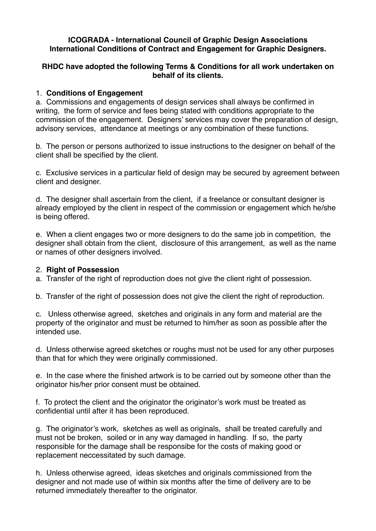#### **ICOGRADA - International Council of Graphic Design Associations International Conditions of Contract and Engagement for Graphic Designers.**

### **RHDC have adopted the following Terms & Conditions for all work undertaken on behalf of its clients.**

## 1. **Conditions of Engagement**

a. Commissions and engagements of design services shall always be confirmed in writing, the form of service and fees being stated with conditions appropriate to the commission of the engagement. Designers' services may cover the preparation of design, advisory services, attendance at meetings or any combination of these functions.

b. The person or persons authorized to issue instructions to the designer on behalf of the client shall be specified by the client.

c. Exclusive services in a particular field of design may be secured by agreement between client and designer.

d. The designer shall ascertain from the client, if a freelance or consultant designer is already employed by the client in respect of the commission or engagement which he/she is being offered.

e. When a client engages two or more designers to do the same job in competition, the designer shall obtain from the client, disclosure of this arrangement, as well as the name or names of other designers involved.

### 2. **Right of Possession**

a. Transfer of the right of reproduction does not give the client right of possession.

b. Transfer of the right of possession does not give the client the right of reproduction.

c. Unless otherwise agreed, sketches and originals in any form and material are the property of the originator and must be returned to him/her as soon as possible after the intended use.

d. Unless otherwise agreed sketches or roughs must not be used for any other purposes than that for which they were originally commissioned.

e. In the case where the finished artwork is to be carried out by someone other than the originator his/her prior consent must be obtained.

f. To protect the client and the originator the originator's work must be treated as confidential until after it has been reproduced.

g. The originator's work, sketches as well as originals, shall be treated carefully and must not be broken, soiled or in any way damaged in handling. If so, the party responsible for the damage shall be responsibe for the costs of making good or replacement neccessitated by such damage.

h. Unless otherwise agreed, ideas sketches and originals commissioned from the designer and not made use of within six months after the time of delivery are to be returned immediately thereafter to the originator.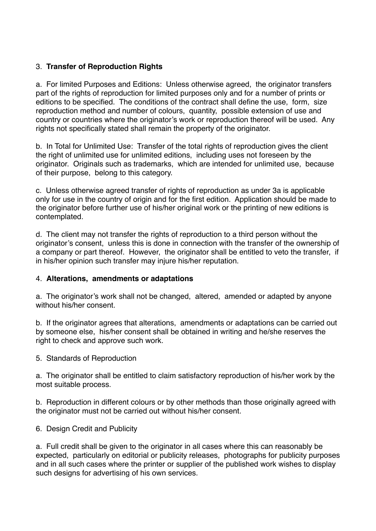# 3. **Transfer of Reproduction Rights**

a. For limited Purposes and Editions: Unless otherwise agreed, the originator transfers part of the rights of reproduction for limited purposes only and for a number of prints or editions to be specified. The conditions of the contract shall define the use, form, size reproduction method and number of colours, quantity, possible extension of use and country or countries where the originator's work or reproduction thereof will be used. Any rights not specifically stated shall remain the property of the originator.

b. In Total for Unlimited Use: Transfer of the total rights of reproduction gives the client the right of unlimited use for unlimited editions, including uses not foreseen by the originator. Originals such as trademarks, which are intended for unlimited use, because of their purpose, belong to this category.

c. Unless otherwise agreed transfer of rights of reproduction as under 3a is applicable only for use in the country of origin and for the first edition. Application should be made to the originator before further use of his/her original work or the printing of new editions is contemplated.

d. The client may not transfer the rights of reproduction to a third person without the originator's consent, unless this is done in connection with the transfer of the ownership of a company or part thereof. However, the originator shall be entitled to veto the transfer, if in his/her opinion such transfer may injure his/her reputation.

## 4. **Alterations, amendments or adaptations**

a. The originator's work shall not be changed, altered, amended or adapted by anyone without his/her consent.

b. If the originator agrees that alterations, amendments or adaptations can be carried out by someone else, his/her consent shall be obtained in writing and he/she reserves the right to check and approve such work.

5. Standards of Reproduction

a. The originator shall be entitled to claim satisfactory reproduction of his/her work by the most suitable process.

b. Reproduction in different colours or by other methods than those originally agreed with the originator must not be carried out without his/her consent.

6. Design Credit and Publicity

a. Full credit shall be given to the originator in all cases where this can reasonably be expected, particularly on editorial or publicity releases, photographs for publicity purposes and in all such cases where the printer or supplier of the published work wishes to display such designs for advertising of his own services.